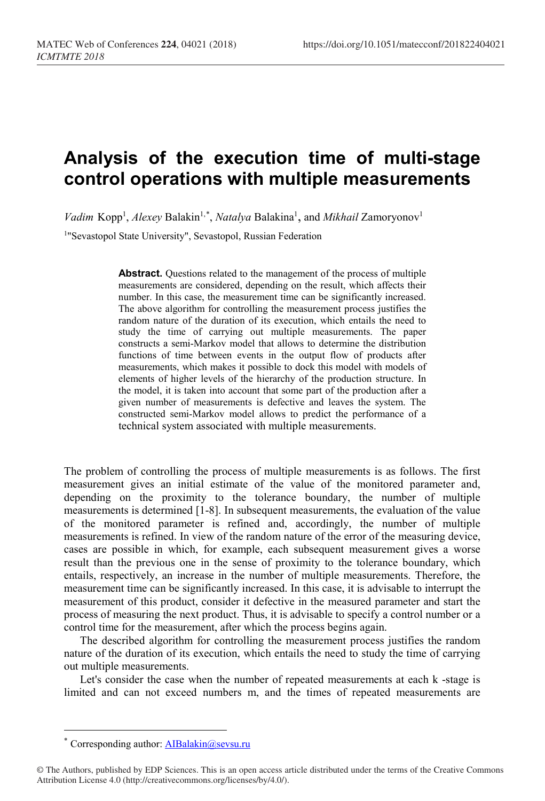## **Analysis of the execution time of multi-stage control operations with multiple measurements**

Vadim Kopp<sup>1</sup>, *Alexey* Balakin<sup>1,[\\*](#page-0-0)</sup>, *Natalya* Balakina<sup>1</sup>, and *Mikhail* Zamoryonov<sup>1</sup>

1"Sevastopol State University", Sevastopol, Russian Federation

**Abstract.** Questions related to the management of the process of multiple measurements are considered, depending on the result, which affects their number. In this case, the measurement time can be significantly increased. The above algorithm for controlling the measurement process justifies the random nature of the duration of its execution, which entails the need to study the time of carrying out multiple measurements. The paper constructs a semi-Markov model that allows to determine the distribution functions of time between events in the output flow of products after measurements, which makes it possible to dock this model with models of elements of higher levels of the hierarchy of the production structure. In the model, it is taken into account that some part of the production after a given number of measurements is defective and leaves the system. The constructed semi-Markov model allows to predict the performance of a technical system associated with multiple measurements.

The problem of controlling the process of multiple measurements is as follows. The first measurement gives an initial estimate of the value of the monitored parameter and, depending on the proximity to the tolerance boundary, the number of multiple measurements is determined [1-8]. In subsequent measurements, the evaluation of the value of the monitored parameter is refined and, accordingly, the number of multiple measurements is refined. In view of the random nature of the error of the measuring device, cases are possible in which, for example, each subsequent measurement gives a worse result than the previous one in the sense of proximity to the tolerance boundary, which entails, respectively, an increase in the number of multiple measurements. Therefore, the measurement time can be significantly increased. In this case, it is advisable to interrupt the measurement of this product, consider it defective in the measured parameter and start the process of measuring the next product. Thus, it is advisable to specify a control number or a control time for the measurement, after which the process begins again.

The described algorithm for controlling the measurement process justifies the random nature of the duration of its execution, which entails the need to study the time of carrying out multiple measurements.

Let's consider the case when the number of repeated measurements at each k -stage is limited and can not exceed numbers m, and the times of repeated measurements are

 $\overline{a}$ 

<sup>\*</sup> Corresponding author: [AIBalakin@sevsu.ru](mailto:AIBalakin@sevsu.ru)

<span id="page-0-0"></span><sup>©</sup> The Authors, published by EDP Sciences. This is an open access article distributed under the terms of the Creative Commons Attribution License 4.0 (http://creativecommons.org/licenses/by/4.0/).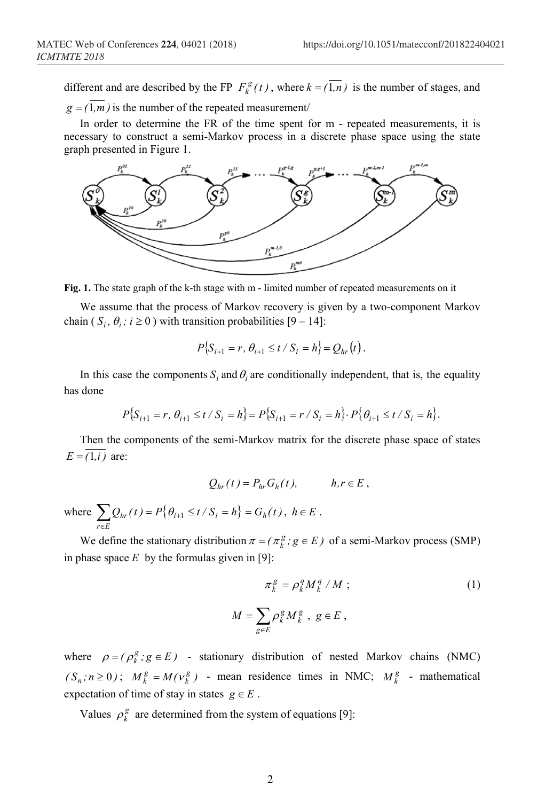different and are described by the FP  $F_k^g(t)$ , where  $k = (\overline{1,n})$  is the number of stages, and

 $g = (1, m)$  is the number of the repeated measurement/

In order to determine the FR of the time spent for m - repeated measurements, it is necessary to construct a semi-Markov process in a discrete phase space using the state graph presented in Figure 1.



**Fig. 1.** The state graph of the k-th stage with m - limited number of repeated measurements on it

We assume that the process of Markov recovery is given by a two-component Markov chain (  $S_i$ ,  $\theta_i$ ,  $i \ge 0$  ) with transition probabilities [9 – 14]:

$$
P\{S_{i+1} = r, \, \theta_{i+1} \le t / S_i = h\} = Q_{hr}(t).
$$

In this case the components  $S_i$  and  $\theta_i$  are conditionally independent, that is, the equality has done

$$
P\{S_{i+1} = r, \theta_{i+1} \le t \mid S_i = h\} = P\{S_{i+1} = r \mid S_i = h\} \cdot P\{\theta_{i+1} \le t \mid S_i = h\}.
$$

Then the components of the semi-Markov matrix for the discrete phase space of states  $E = (1, i)$  are:

$$
Q_{hr}(t) = P_{hr} G_h(t), \qquad h, r \in E,
$$

where  $\sum Q_{hr}(t) = P\{\theta_{i+1} \le t / S_i = h\} = G_h(t)$  $\sum_{r \in E} Q_{hr}(t) = P\{\theta_{i+1} \le t / S_i = h\} =$  $\theta_{i+1} \le t / S_i = h$ } =  $G_h(t)$ ,  $h \in E$ .

We define the stationary distribution  $\pi = (\pi_k^g; g \in E)$  of a semi-Markov process (SMP) in phase space  $E$  by the formulas given in [9]:

$$
\pi_k^g = \rho_k^g M_k^g / M ;
$$
  
\n
$$
M = \sum_{g \in E} \rho_k^g M_k^g , g \in E ,
$$
\n(1)

where  $\rho = (\rho_k^g : g \in E)$  - stationary distribution of nested Markov chains (NMC)  $(S_n; n \ge 0)$ ;  $M_k^g = M(v_k^g)$  - mean residence times in NMC;  $M_k^g$  - mathematical expectation of time of stay in states  $g \in E$ .

Values  $\rho_k^g$  are determined from the system of equations [9]: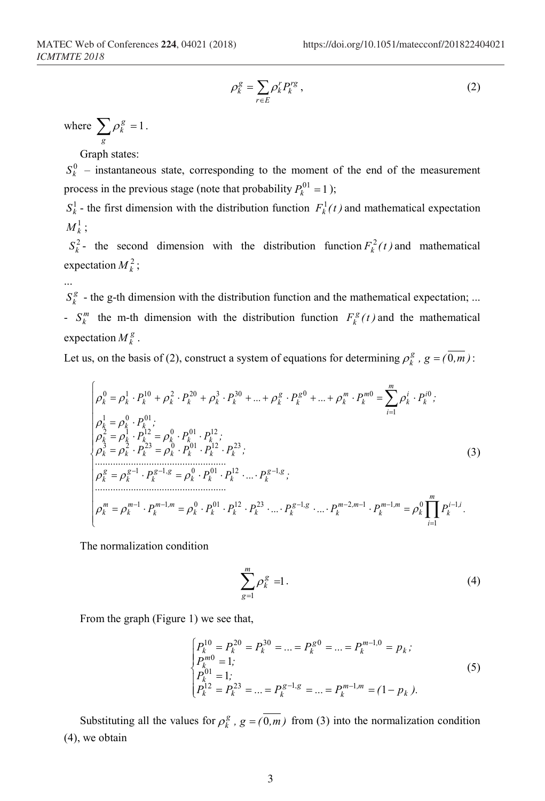$$
\rho_k^g = \sum_{r \in E} \rho_k^r P_k^{rg} \,, \tag{2}
$$

where 
$$
\sum_{g} \rho_k^g = 1.
$$

Graph states:

 $S_k^0$  – instantaneous state, corresponding to the moment of the end of the measurement process in the previous stage (note that probability  $P_k^{01} = 1$ );

 $S_k^1$  - the first dimension with the distribution function  $F_k^1(t)$  and mathematical expectation  $M_{k}^{1}$ ;

 $S_k^2$ - the second dimension with the distribution function  $F_k^2(t)$  and mathematical expectation  $M_k^2$ ;

...  $S_k^g$  - the g-th dimension with the distribution function and the mathematical expectation; ... -  $S_k^m$  the m-th dimension with the distribution function  $F_k^g(t)$  and the mathematical expectation  $M_k^g$ .

Let us, on the basis of (2), construct a system of equations for determining  $\rho_k^g$ ,  $g = (\overline{0,m})$ :

$$
\begin{vmatrix}\n\rho_k^0 = \rho_k^1 \cdot P_k^{10} + \rho_k^2 \cdot P_k^{20} + \rho_k^3 \cdot P_k^{30} + \dots + \rho_k^g \cdot P_k^{g0} + \dots + \rho_k^m \cdot P_k^{m0} = \sum_{i=1}^m \rho_k^i \cdot P_k^{i0}; \\
\rho_k^1 = \rho_k^0 \cdot P_k^{01}; \\
\rho_k^2 = \rho_k^1 \cdot P_k^{12} = \rho_k^0 \cdot P_k^{01} \cdot P_k^{12}; \\
\rho_k^3 = \rho_k^2 \cdot P_k^{23} = \rho_k^0 \cdot P_k^{01} \cdot P_k^{12} \cdot P_k^{23}; \\
\dots \\
\rho_k^g = \rho_k^{g-1} \cdot P_k^{g-1} g = \rho_k^0 \cdot P_k^{01} \cdot P_k^{12} \cdot \dots \cdot P_k^{g-1} g; \\
\dots \\
\rho_k^m = \rho_k^{m-1} \cdot P_k^{m-1,m} = \rho_k^0 \cdot P_k^{01} \cdot P_k^{12} \cdot P_k^{23} \cdot \dots \cdot P_k^{g-1} g \cdot \dots \cdot P_k^{m-2,m-1} \cdot P_k^{m-1,m} = \rho_k^0 \prod_{i=1}^m P_k^{i-1,i}.\n\end{vmatrix}
$$
\n(3)

The normalization condition

$$
\sum_{g=1}^{m} \rho_k^g = 1. \tag{4}
$$

From the graph (Figure 1) we see that,

$$
\begin{cases}\nP_k^{10} = P_k^{20} = P_k^{30} = \dots = P_k^{g0} = \dots = P_k^{m-1,0} = p_k; \\
P_k^{m0} = 1; \\
P_k^{01} = 1; \\
P_k^{12} = P_k^{23} = \dots = P_k^{g-1,g} = \dots = P_k^{m-1,m} = (1 - p_k).\n\end{cases}
$$
\n(5)

Substituting all the values for  $\rho_k^g$ ,  $g = (\overline{0,m})$  from (3) into the normalization condition (4), we obtain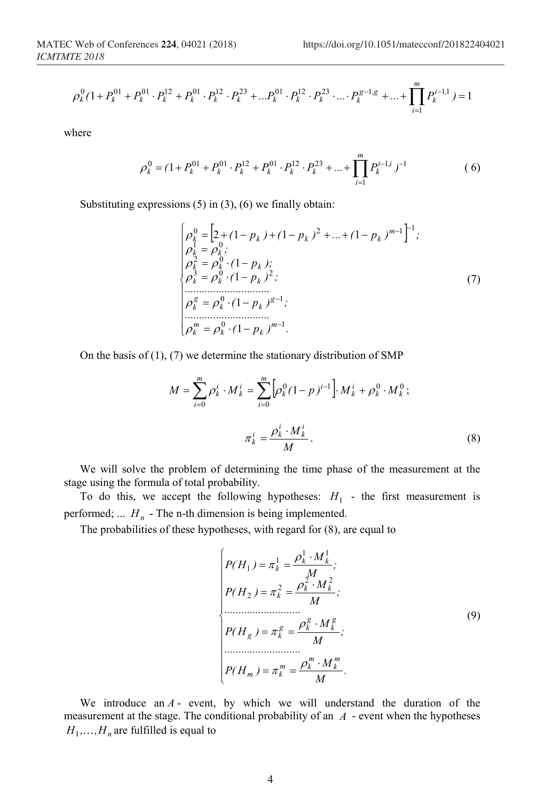$$
\rho_k^0(1+P_k^{01}+P_k^{01}\cdot P_k^{12}+P_k^{01}\cdot P_k^{12}\cdot P_k^{23}+...P_k^{01}\cdot P_k^{12}\cdot P_k^{23}\cdot...\cdot P_k^{g-1,g}+...+\prod_{i=1}^m P_k^{i-1,1})=1
$$

where

$$
\rho_k^0 = (1 + P_k^{01} + P_k^{01} \cdot P_k^{12} + P_k^{01} \cdot P_k^{12} \cdot P_k^{23} + \dots + \prod_{i=1}^m P_k^{i-1,i})^{-1}
$$
(6)

Substituting expressions  $(5)$  in  $(3)$ ,  $(6)$  we finally obtain:

$$
\begin{cases}\n\rho_k^0 = \left[2 + (1 - p_k) + (1 - p_k)^2 + \dots + (1 - p_k)^{m-1}\right]^{-1}, \\
\rho_k^1 = \rho_k^0, \\
\rho_k^2 = \rho_k^0 \cdot (1 - p_k), \\
\rho_k^3 = \rho_k^0 \cdot (1 - p_k)^2, \\
\dots \\
\rho_k^g = \rho_k^0 \cdot (1 - p_k)^{g-1}, \\
\dots \\
\rho_k^m = \rho_k^0 \cdot (1 - p_k)^{m-1}.\n\end{cases} \tag{7}
$$

On the basis of  $(1)$ ,  $(7)$  we determine the stationary distribution of SMP

$$
M = \sum_{i=0}^{m} \rho_k^i \cdot M_k^i = \sum_{i=0}^{m} \left[ \rho_k^0 (1 - p)^{i-1} \right] \cdot M_k^i + \rho_k^0 \cdot M_k^0;
$$
  

$$
\pi_k^i = \frac{\rho_k^i \cdot M_k^i}{M}.
$$
 (8)

We will solve the problem of determining the time phase of the measurement at the stage using the formula of total probability.

To do this, we accept the following hypotheses:  $H_1$  - the first measurement is performed; ...  $H_n$  - The n-th dimension is being implemented.

The probabilities of these hypotheses, with regard for (8), are equal to

$$
P(H_1) = \pi_k^1 = \frac{\rho_k^1 \cdot M_k^1}{M};
$$
  
\n
$$
P(H_2) = \pi_k^2 = \frac{\rho_k^2 \cdot M_k^2}{M};
$$
  
\n
$$
P(H_g) = \pi_k^g = \frac{\rho_k^g \cdot M_k^g}{M};
$$
  
\n
$$
P(H_m) = \pi_k^m = \frac{\rho_k^m \cdot M_k^m}{M}.
$$
  
\n(9)

We introduce an *A* - event, by which we will understand the duration of the measurement at the stage. The conditional probability of an *А* - event when the hypotheses  $H_1, \ldots, H_n$  are fulfilled is equal to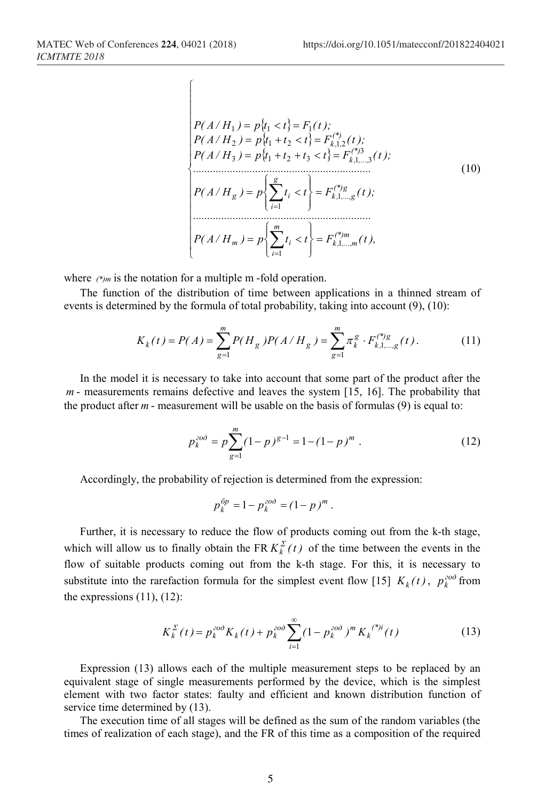$$
P(A/H_1) = p\{t_1 < t\} = F_1(t);
$$
\n
$$
P(A/H_2) = p\{t_1 + t_2 < t\} = F_{k,1,2}(t);
$$
\n
$$
P(A/H_3) = p\{t_1 + t_2 + t_3 < t\} = F_{k,1,\dots,3}^{(*)}(t);
$$
\n
$$
\dots
$$
\n
$$
P(A/H_g) = p\{\sum_{i=1}^{g} t_i < t\} = F_{k,1,\dots,g}^{(*)}(t);
$$
\n
$$
\dots
$$
\n
$$
P(A/H_g) = p\{\sum_{i=1}^{g} t_i < t\} = F_{k,1,\dots,g}^{(*)}(t);
$$
\n
$$
P(A/H_m) = p\{\sum_{i=1}^{m} t_i < t\} = F_{k,1,\dots,m}^{(*)}(t),
$$
\n
$$
(10)
$$

where  $\gamma_{m}$  is the notation for a multiple m -fold operation.

 $\sqrt{ }$ 

The function of the distribution of time between applications in a thinned stream of events is determined by the formula of total probability, taking into account (9), (10):

$$
K_k(t) = P(A) = \sum_{g=1}^{m} P(H_g) P(A/H_g) = \sum_{g=1}^{m} \pi_k^g \cdot F_{k,1,\dots,g}^{(*)g}(t). \tag{11}
$$

In the model it is necessary to take into account that some part of the product after the *m* - measurements remains defective and leaves the system [15, 16]. The probability that the product after  $m$  - measurement will be usable on the basis of formulas  $(9)$  is equal to:

$$
p_k^{zoo} = p \sum_{g=1}^m (1-p)^{g-1} = 1 - (1-p)^m . \tag{12}
$$

Accordingly, the probability of rejection is determined from the expression:

$$
p_k^{\delta p} = 1 - p_k^{zod} = (1 - p)^m.
$$

Further, it is necessary to reduce the flow of products coming out from the k-th stage, which will allow us to finally obtain the FR  $K_k^{\Sigma}(t)$  of the time between the events in the flow of suitable products coming out from the k-th stage. For this, it is necessary to substitute into the rarefaction formula for the simplest event flow [15]  $K_k(t)$ ,  $p_k^{200}$  from the expressions  $(11)$ ,  $(12)$ :

$$
K_k^{\Sigma}(t) = p_k^{200} K_k(t) + p_k^{200} \sum_{i=1}^{\infty} (1 - p_k^{200})^m K_k^{(\ast)i}(t)
$$
 (13)

Expression (13) allows each of the multiple measurement steps to be replaced by an equivalent stage of single measurements performed by the device, which is the simplest element with two factor states: faulty and efficient and known distribution function of service time determined by (13).

The execution time of all stages will be defined as the sum of the random variables (the times of realization of each stage), and the FR of this time as a composition of the required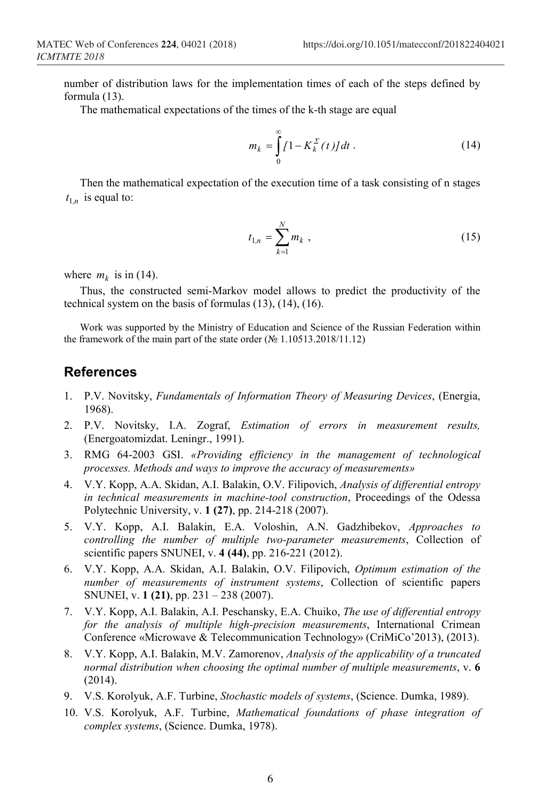number of distribution laws for the implementation times of each of the steps defined by formula (13).

The mathematical expectations of the times of the k-th stage are equal

$$
m_k = \int_{0}^{\infty} \int_{1}^{1} -K_k^{\Sigma}(t) \, dt \,. \tag{14}
$$

Then the mathematical expectation of the execution time of a task consisting of n stages  $t_{1,n}$  is equal to:

$$
t_{1,n} = \sum_{k=1}^{N} m_k \tag{15}
$$

where  $m_k$  is in (14).

Thus, the constructed semi-Markov model allows to predict the productivity of the technical system on the basis of formulas (13), (14), (16).

Work was supported by the Ministry of Education and Science of the Russian Federation within the framework of the main part of the state order (№ 1.10513.2018/11.12)

## **References**

- 1. P.V. Novitsky, *Fundamentals of Information Theory of Measuring Devices*, (Energia, 1968).
- 2. P.V. Novitsky, I.A. Zograf, *Estimation of errors in measurement results,* (Energoatomizdat. Leningr., 1991).
- 3. RMG 64-2003 GSI. *«Providing efficiency in the management of technological processes. Methods and ways to improve the accuracy of measurements»*
- 4. V.Y. Kopp, A.A. Skidan, A.I. Balakin, O.V. Filipovich, *Analysis of differential entropy in technical measurements in machine-tool construction*, Proceedings of the Odessa Polytechnic University, v. **1 (27)**, рр. 214-218 (2007).
- 5. V.Y. Kopp, A.I. Balakin, E.A. Voloshin, A.N. Gadzhibekov, *Approaches to controlling the number of multiple two-parameter measurements*, Collection of scientific papers SNUNEI, v. **4 (44)**, pp. 216-221 (2012).
- 6. V.Y. Kopp, A.A. Skidan, A.I. Balakin, O.V. Filipovich, *Optimum estimation of the number of measurements of instrument systems*, Collection of scientific papers SNUNEI, v. **1 (21)**, pp. 231 – 238 (2007).
- 7. V.Y. Kopp, A.I. Balakin, A.I. Peschansky, E.A. Chuiko, *The use of differential entropy for the analysis of multiple high-precision measurements*, International Crimean Conference «Microwave & Telecommunication Technology» (CriMiCo'2013), (2013).
- 8. V.Y. Kopp, A.I. Balakin, M.V. Zamorenov, *Analysis of the applicability of a truncated normal distribution when choosing the optimal number of multiple measurements*, v. **6** (2014).
- 9. V.S. Korolyuk, A.F. Turbine, *Stochastic models of systems*, (Science. Dumka, 1989).
- 10. V.S. Korolyuk, A.F. Turbine, *Mathematical foundations of phase integration of complex systems*, (Science. Dumka, 1978).